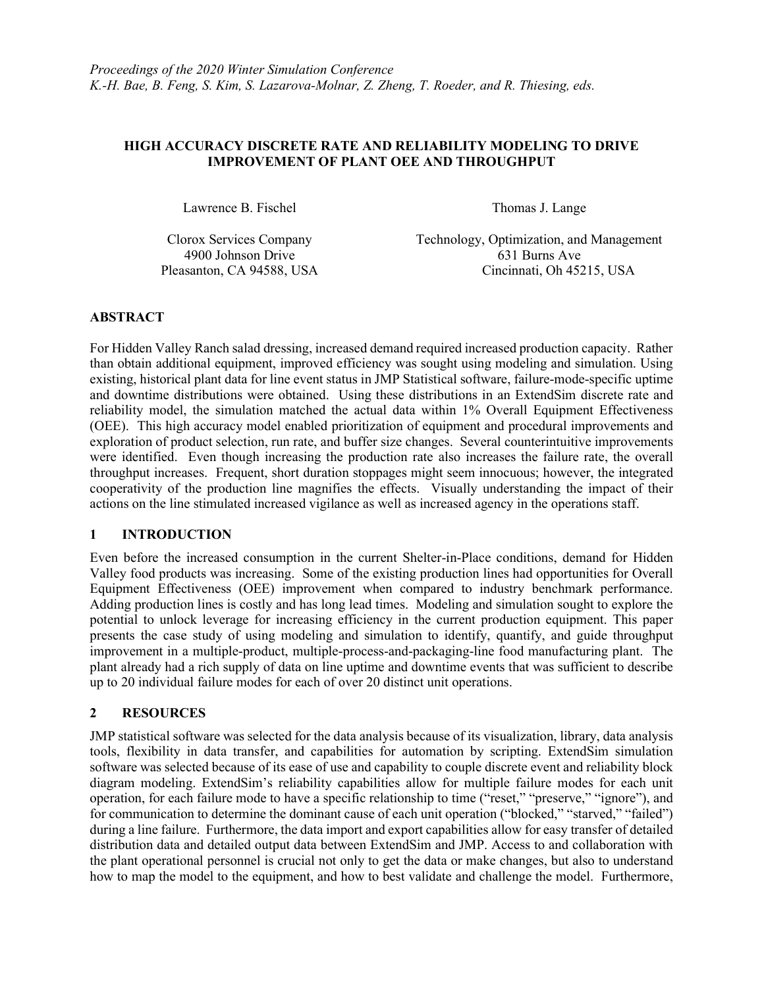### HIGH ACCURACY DISCRETE RATE AND RELIABILITY MODELING TO DRIVE IMPROVEMENT OF PLANT OEE AND THROUGHPUT

Lawrence B. Fischel Thomas J. Lange

Clorox Services Company Technology, Optimization, and Management 4900 Johnson Drive 631 Burns Ave Pleasanton, CA 94588, USA Cincinnati, Oh 45215, USA

### ABSTRACT

For Hidden Valley Ranch salad dressing, increased demand required increased production capacity. Rather than obtain additional equipment, improved efficiency was sought using modeling and simulation. Using existing, historical plant data for line event status in JMP Statistical software, failure-mode-specific uptime and downtime distributions were obtained. Using these distributions in an ExtendSim discrete rate and reliability model, the simulation matched the actual data within 1% Overall Equipment Effectiveness (OEE). This high accuracy model enabled prioritization of equipment and procedural improvements and exploration of product selection, run rate, and buffer size changes. Several counterintuitive improvements were identified. Even though increasing the production rate also increases the failure rate, the overall throughput increases. Frequent, short duration stoppages might seem innocuous; however, the integrated cooperativity of the production line magnifies the effects. Visually understanding the impact of their actions on the line stimulated increased vigilance as well as increased agency in the operations staff.

### 1 INTRODUCTION

Even before the increased consumption in the current Shelter-in-Place conditions, demand for Hidden Valley food products was increasing. Some of the existing production lines had opportunities for Overall Equipment Effectiveness (OEE) improvement when compared to industry benchmark performance. Adding production lines is costly and has long lead times. Modeling and simulation sought to explore the potential to unlock leverage for increasing efficiency in the current production equipment. This paper presents the case study of using modeling and simulation to identify, quantify, and guide throughput improvement in a multiple-product, multiple-process-and-packaging-line food manufacturing plant. The plant already had a rich supply of data on line uptime and downtime events that was sufficient to describe up to 20 individual failure modes for each of over 20 distinct unit operations.

### 2 RESOURCES

JMP statistical software was selected for the data analysis because of its visualization, library, data analysis tools, flexibility in data transfer, and capabilities for automation by scripting. ExtendSim simulation software was selected because of its ease of use and capability to couple discrete event and reliability block diagram modeling. ExtendSim's reliability capabilities allow for multiple failure modes for each unit operation, for each failure mode to have a specific relationship to time ("reset," "preserve," "ignore"), and for communication to determine the dominant cause of each unit operation ("blocked," "starved," "failed") during a line failure. Furthermore, the data import and export capabilities allow for easy transfer of detailed distribution data and detailed output data between ExtendSim and JMP. Access to and collaboration with the plant operational personnel is crucial not only to get the data or make changes, but also to understand how to map the model to the equipment, and how to best validate and challenge the model. Furthermore,